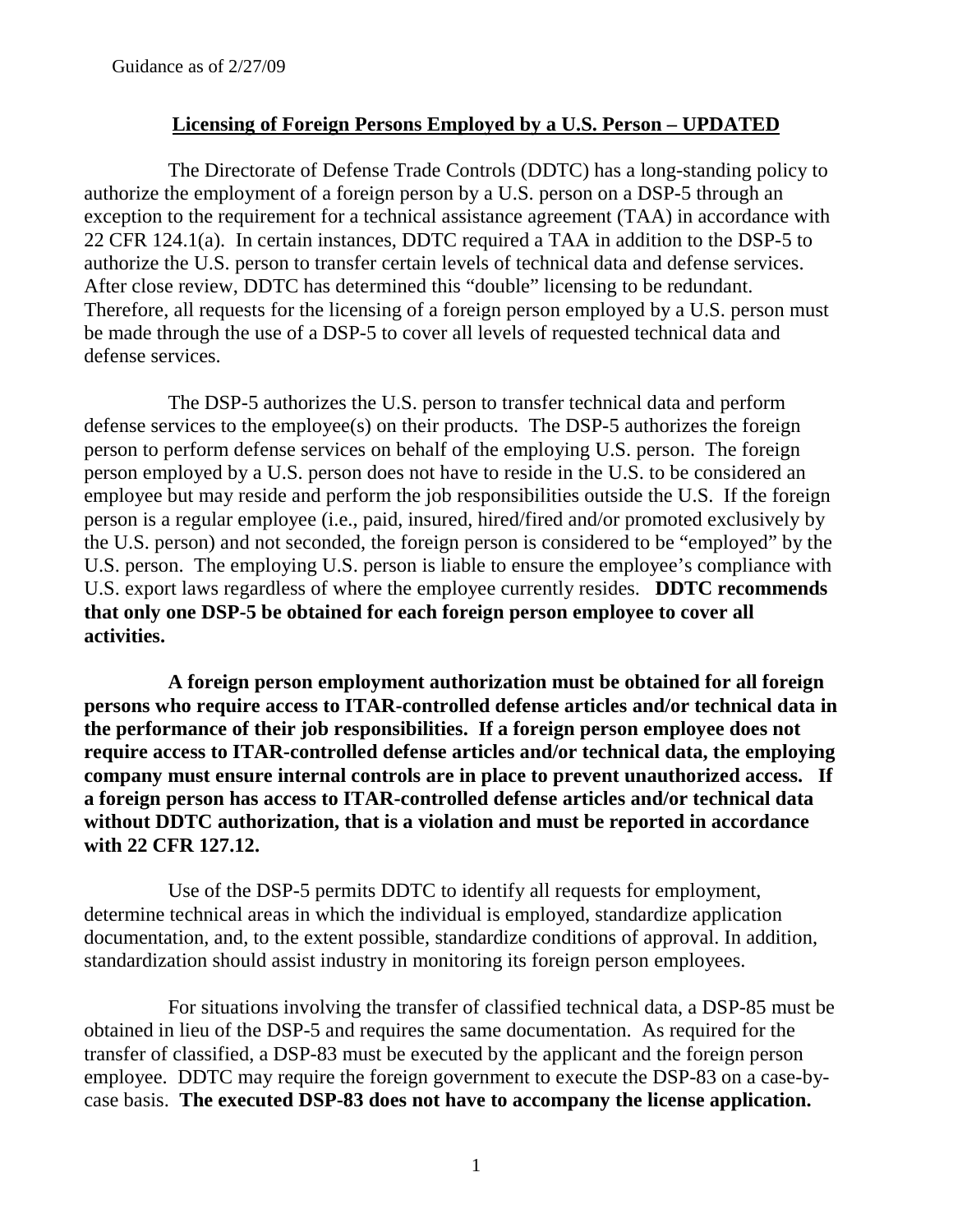## **Licensing of Foreign Persons Employed by a U.S. Person – UPDATED**

The Directorate of Defense Trade Controls (DDTC) has a long-standing policy to authorize the employment of a foreign person by a U.S. person on a DSP-5 through an exception to the requirement for a technical assistance agreement (TAA) in accordance with 22 CFR 124.1(a). In certain instances, DDTC required a TAA in addition to the DSP-5 to authorize the U.S. person to transfer certain levels of technical data and defense services. After close review, DDTC has determined this "double" licensing to be redundant. Therefore, all requests for the licensing of a foreign person employed by a U.S. person must be made through the use of a DSP-5 to cover all levels of requested technical data and defense services.

The DSP-5 authorizes the U.S. person to transfer technical data and perform defense services to the employee(s) on their products. The DSP-5 authorizes the foreign person to perform defense services on behalf of the employing U.S. person. The foreign person employed by a U.S. person does not have to reside in the U.S. to be considered an employee but may reside and perform the job responsibilities outside the U.S. If the foreign person is a regular employee (i.e., paid, insured, hired/fired and/or promoted exclusively by the U.S. person) and not seconded, the foreign person is considered to be "employed" by the U.S. person. The employing U.S. person is liable to ensure the employee's compliance with U.S. export laws regardless of where the employee currently resides. **DDTC recommends that only one DSP-5 be obtained for each foreign person employee to cover all activities.** 

**A foreign person employment authorization must be obtained for all foreign persons who require access to ITAR-controlled defense articles and/or technical data in the performance of their job responsibilities. If a foreign person employee does not require access to ITAR-controlled defense articles and/or technical data, the employing company must ensure internal controls are in place to prevent unauthorized access. If a foreign person has access to ITAR-controlled defense articles and/or technical data without DDTC authorization, that is a violation and must be reported in accordance with 22 CFR 127.12.** 

Use of the DSP-5 permits DDTC to identify all requests for employment, determine technical areas in which the individual is employed, standardize application documentation, and, to the extent possible, standardize conditions of approval. In addition, standardization should assist industry in monitoring its foreign person employees.

For situations involving the transfer of classified technical data, a DSP-85 must be obtained in lieu of the DSP-5 and requires the same documentation. As required for the transfer of classified, a DSP-83 must be executed by the applicant and the foreign person employee. DDTC may require the foreign government to execute the DSP-83 on a case-bycase basis. **The executed DSP-83 does not have to accompany the license application.**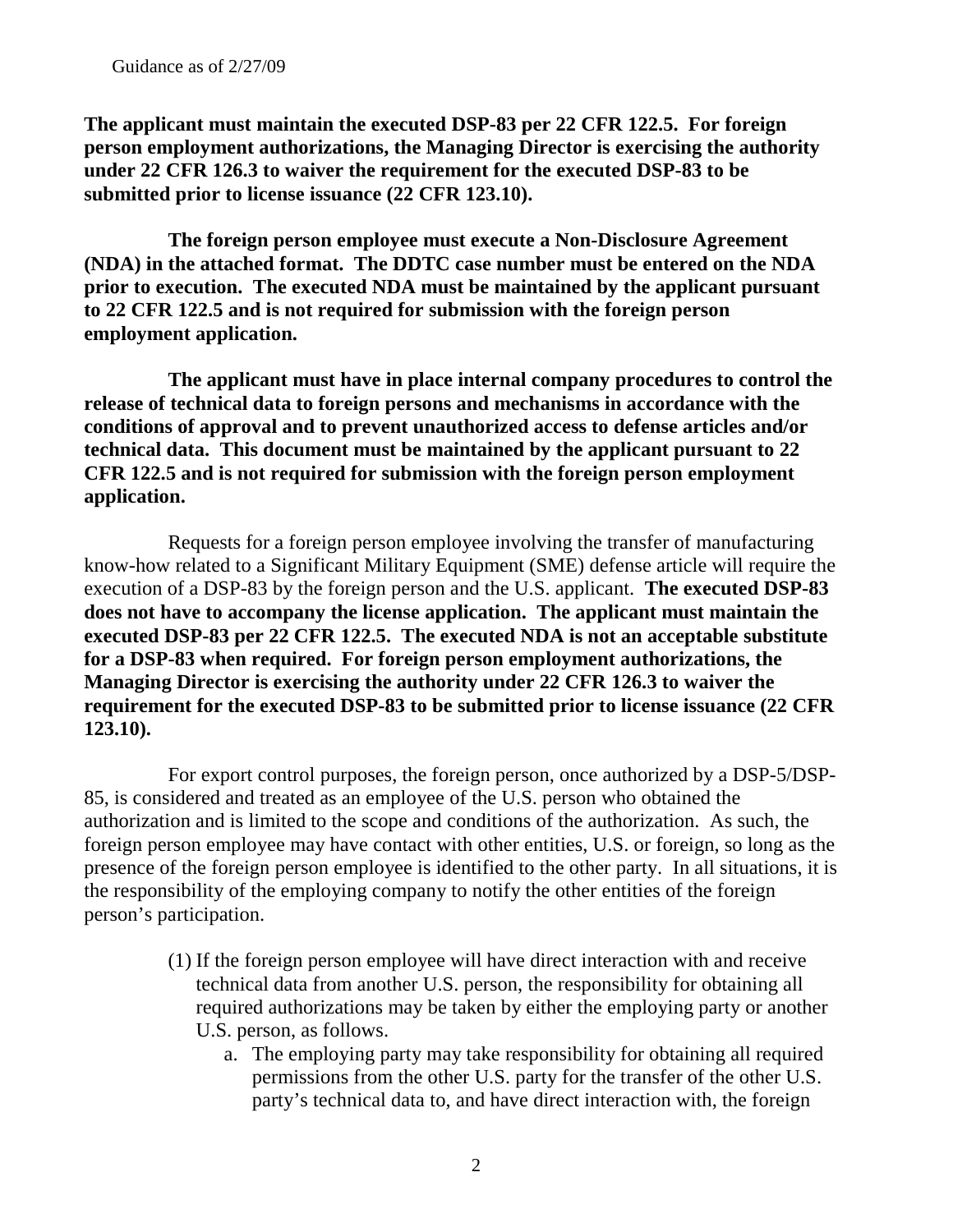**The applicant must maintain the executed DSP-83 per 22 CFR 122.5. For foreign person employment authorizations, the Managing Director is exercising the authority under 22 CFR 126.3 to waiver the requirement for the executed DSP-83 to be submitted prior to license issuance (22 CFR 123.10).** 

**The foreign person employee must execute a Non-Disclosure Agreement (NDA) in the attached format. The DDTC case number must be entered on the NDA prior to execution. The executed NDA must be maintained by the applicant pursuant to 22 CFR 122.5 and is not required for submission with the foreign person employment application.** 

**The applicant must have in place internal company procedures to control the release of technical data to foreign persons and mechanisms in accordance with the conditions of approval and to prevent unauthorized access to defense articles and/or technical data. This document must be maintained by the applicant pursuant to 22 CFR 122.5 and is not required for submission with the foreign person employment application.** 

Requests for a foreign person employee involving the transfer of manufacturing know-how related to a Significant Military Equipment (SME) defense article will require the execution of a DSP-83 by the foreign person and the U.S. applicant. **The executed DSP-83 does not have to accompany the license application. The applicant must maintain the executed DSP-83 per 22 CFR 122.5. The executed NDA is not an acceptable substitute for a DSP-83 when required. For foreign person employment authorizations, the Managing Director is exercising the authority under 22 CFR 126.3 to waiver the requirement for the executed DSP-83 to be submitted prior to license issuance (22 CFR 123.10).**

For export control purposes, the foreign person, once authorized by a DSP-5/DSP-85, is considered and treated as an employee of the U.S. person who obtained the authorization and is limited to the scope and conditions of the authorization. As such, the foreign person employee may have contact with other entities, U.S. or foreign, so long as the presence of the foreign person employee is identified to the other party. In all situations, it is the responsibility of the employing company to notify the other entities of the foreign person's participation.

- (1) If the foreign person employee will have direct interaction with and receive technical data from another U.S. person, the responsibility for obtaining all required authorizations may be taken by either the employing party or another U.S. person, as follows.
	- a. The employing party may take responsibility for obtaining all required permissions from the other U.S. party for the transfer of the other U.S. party's technical data to, and have direct interaction with, the foreign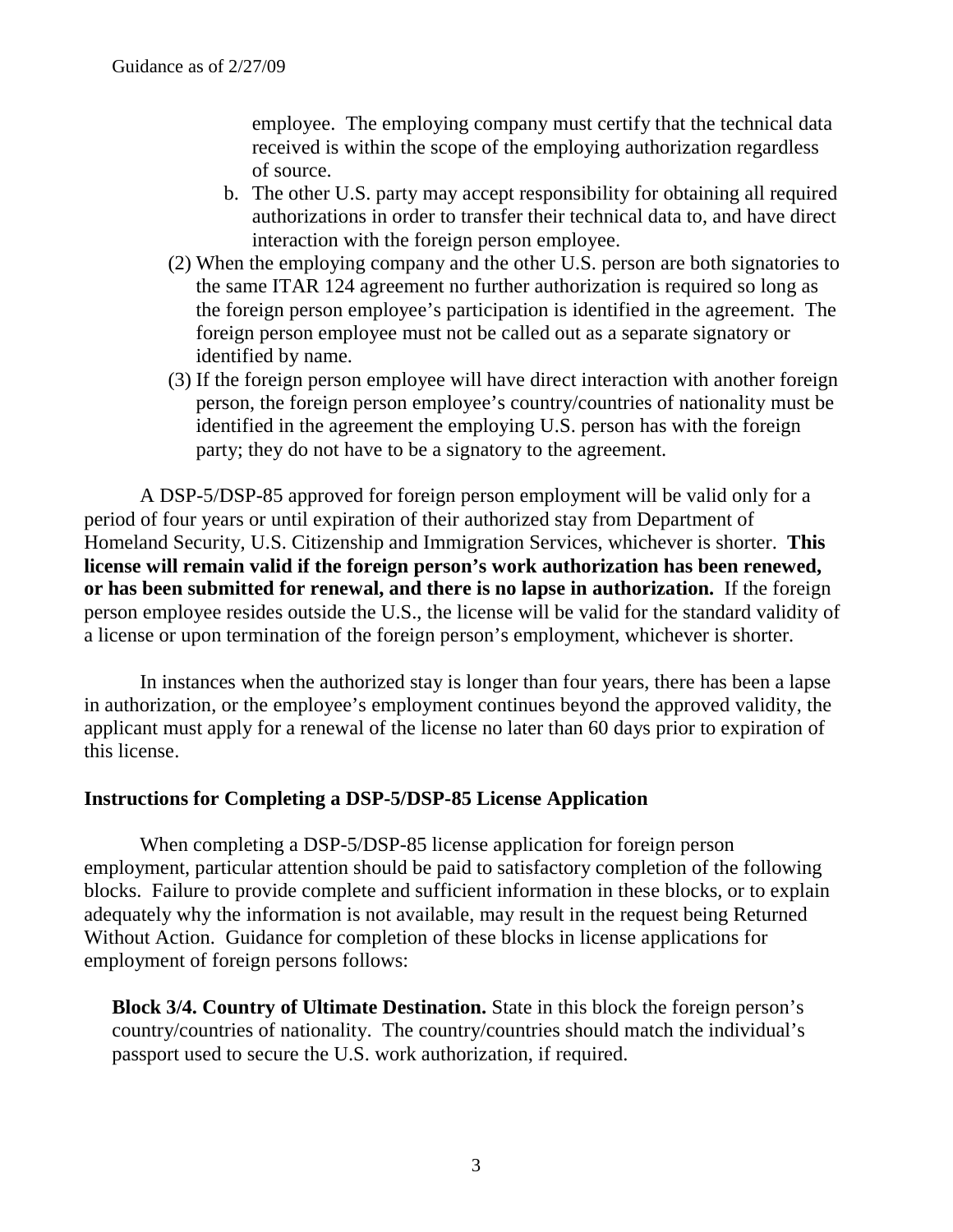employee. The employing company must certify that the technical data received is within the scope of the employing authorization regardless of source.

- b. The other U.S. party may accept responsibility for obtaining all required authorizations in order to transfer their technical data to, and have direct interaction with the foreign person employee.
- (2) When the employing company and the other U.S. person are both signatories to the same ITAR 124 agreement no further authorization is required so long as the foreign person employee's participation is identified in the agreement. The foreign person employee must not be called out as a separate signatory or identified by name.
- (3) If the foreign person employee will have direct interaction with another foreign person, the foreign person employee's country/countries of nationality must be identified in the agreement the employing U.S. person has with the foreign party; they do not have to be a signatory to the agreement.

A DSP-5/DSP-85 approved for foreign person employment will be valid only for a period of four years or until expiration of their authorized stay from Department of Homeland Security, U.S. Citizenship and Immigration Services, whichever is shorter. **This license will remain valid if the foreign person's work authorization has been renewed, or has been submitted for renewal, and there is no lapse in authorization.** If the foreign person employee resides outside the U.S., the license will be valid for the standard validity of a license or upon termination of the foreign person's employment, whichever is shorter.

In instances when the authorized stay is longer than four years, there has been a lapse in authorization, or the employee's employment continues beyond the approved validity, the applicant must apply for a renewal of the license no later than 60 days prior to expiration of this license.

## **Instructions for Completing a DSP-5/DSP-85 License Application**

When completing a DSP-5/DSP-85 license application for foreign person employment, particular attention should be paid to satisfactory completion of the following blocks. Failure to provide complete and sufficient information in these blocks, or to explain adequately why the information is not available, may result in the request being Returned Without Action. Guidance for completion of these blocks in license applications for employment of foreign persons follows:

**Block 3/4. Country of Ultimate Destination.** State in this block the foreign person's country/countries of nationality. The country/countries should match the individual's passport used to secure the U.S. work authorization, if required.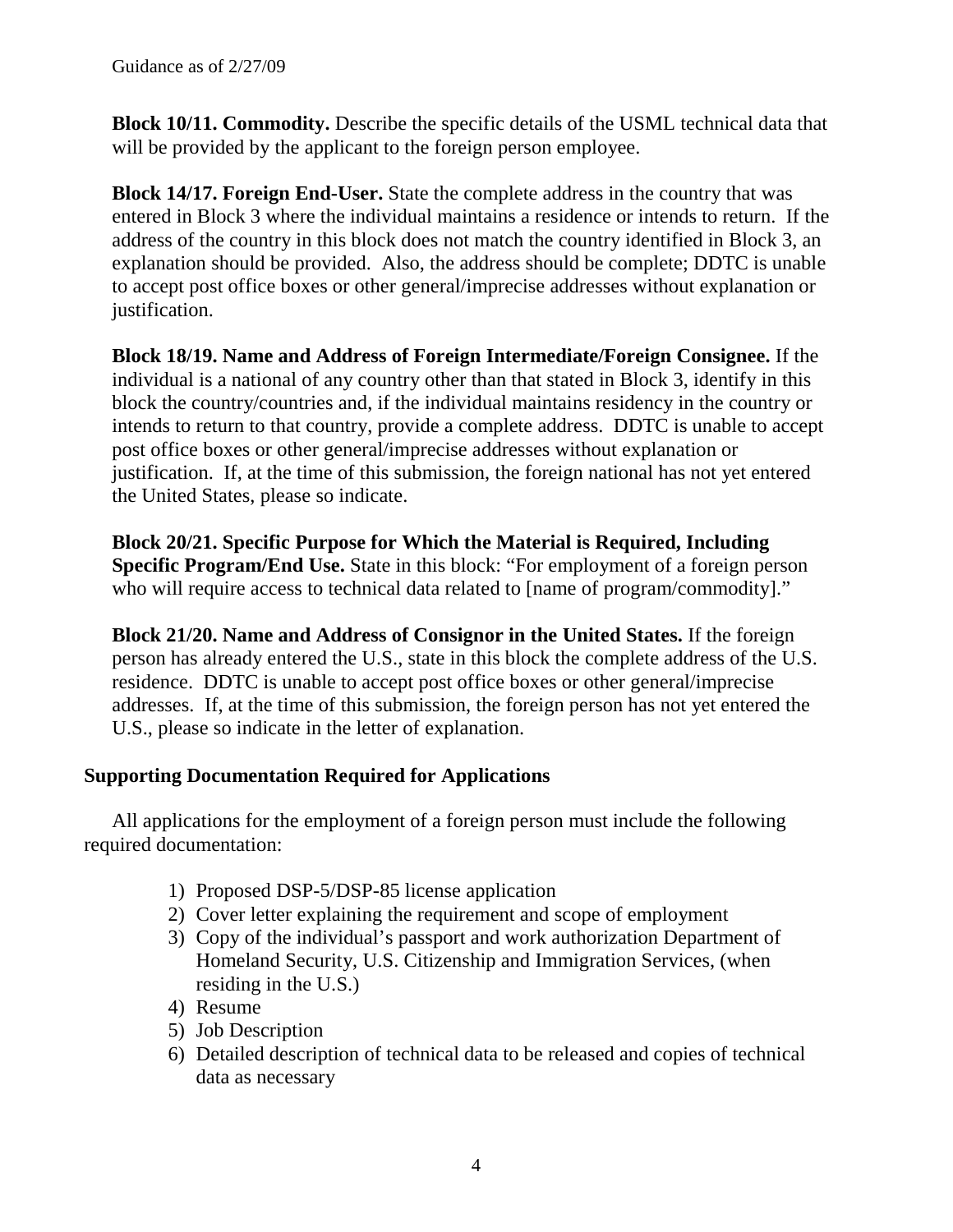**Block 10/11. Commodity.** Describe the specific details of the USML technical data that will be provided by the applicant to the foreign person employee.

**Block 14/17. Foreign End-User.** State the complete address in the country that was entered in Block 3 where the individual maintains a residence or intends to return. If the address of the country in this block does not match the country identified in Block 3, an explanation should be provided. Also, the address should be complete; DDTC is unable to accept post office boxes or other general/imprecise addresses without explanation or justification.

**Block 18/19. Name and Address of Foreign Intermediate/Foreign Consignee.** If the individual is a national of any country other than that stated in Block 3, identify in this block the country/countries and, if the individual maintains residency in the country or intends to return to that country, provide a complete address. DDTC is unable to accept post office boxes or other general/imprecise addresses without explanation or justification. If, at the time of this submission, the foreign national has not yet entered the United States, please so indicate.

**Block 20/21. Specific Purpose for Which the Material is Required, Including Specific Program/End Use.** State in this block: "For employment of a foreign person who will require access to technical data related to [name of program/commodity]."

**Block 21/20. Name and Address of Consignor in the United States.** If the foreign person has already entered the U.S., state in this block the complete address of the U.S. residence. DDTC is unable to accept post office boxes or other general/imprecise addresses. If, at the time of this submission, the foreign person has not yet entered the U.S., please so indicate in the letter of explanation.

# **Supporting Documentation Required for Applications**

All applications for the employment of a foreign person must include the following required documentation:

- 1) Proposed DSP-5/DSP-85 license application
- 2) Cover letter explaining the requirement and scope of employment
- 3) Copy of the individual's passport and work authorization Department of Homeland Security, U.S. Citizenship and Immigration Services, (when residing in the U.S.)
- 4) Resume
- 5) Job Description
- 6) Detailed description of technical data to be released and copies of technical data as necessary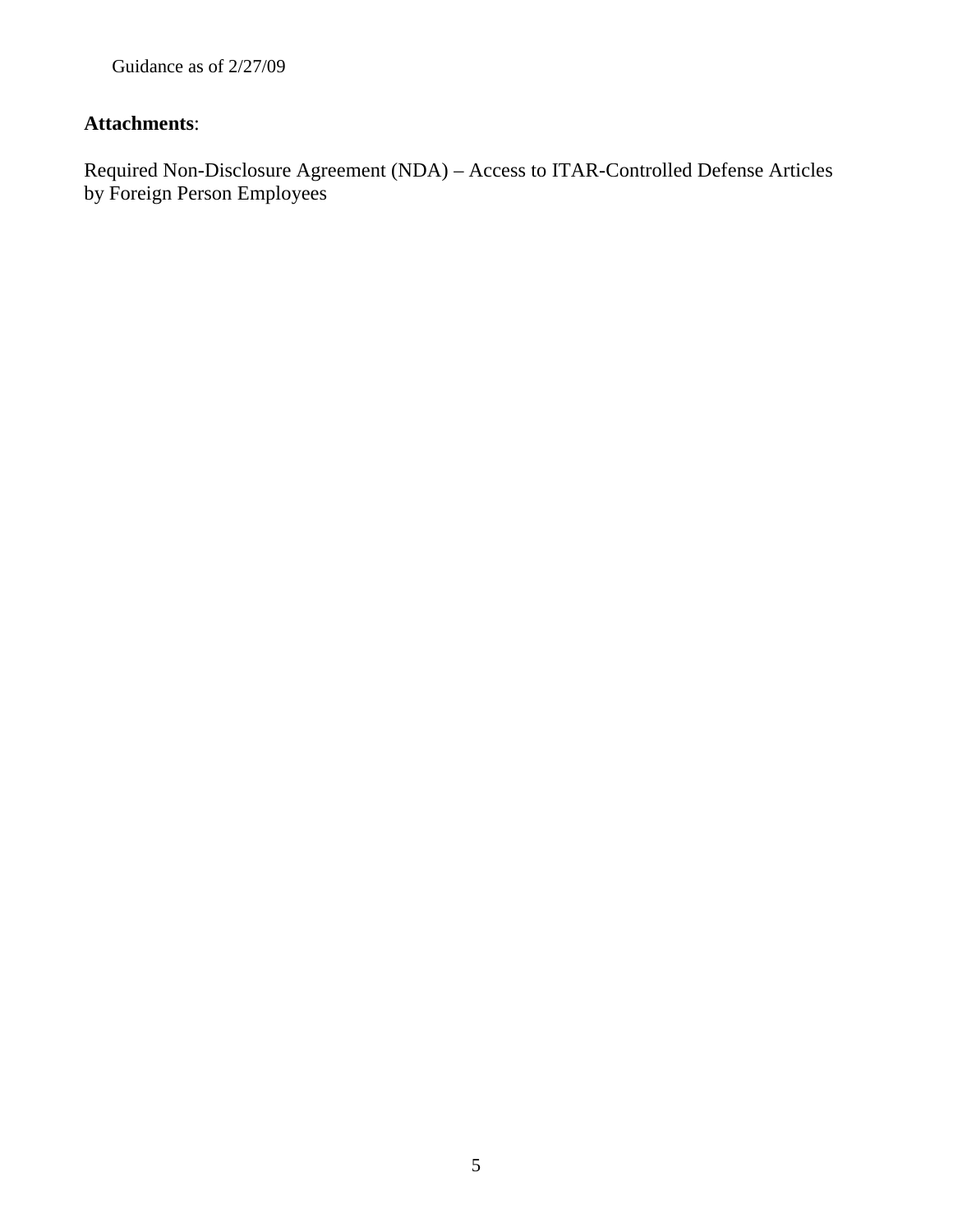# **Attachments**:

Required Non-Disclosure Agreement (NDA) – Access to ITAR-Controlled Defense Articles by Foreign Person Employees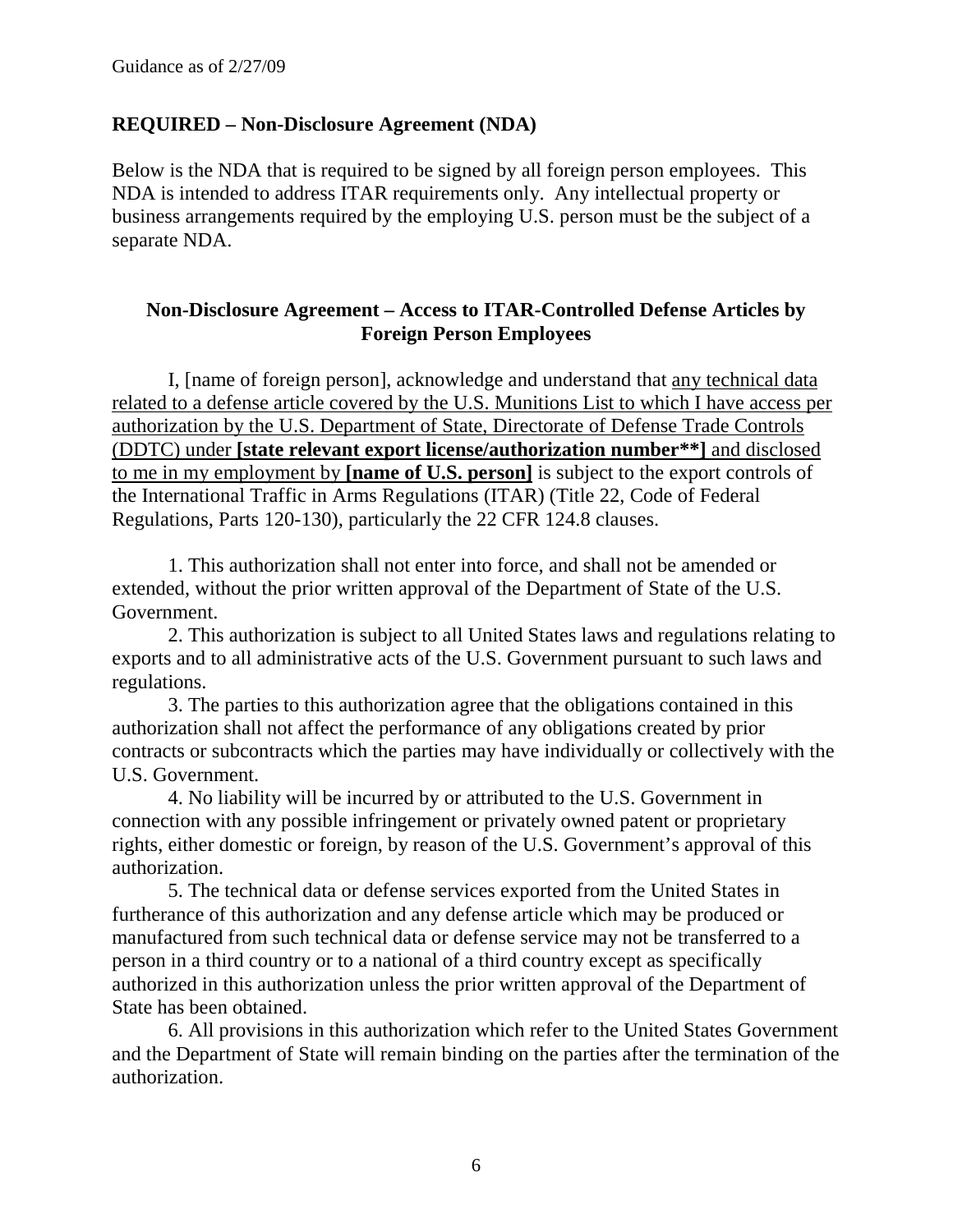#### **REQUIRED – Non-Disclosure Agreement (NDA)**

Below is the NDA that is required to be signed by all foreign person employees. This NDA is intended to address ITAR requirements only. Any intellectual property or business arrangements required by the employing U.S. person must be the subject of a separate NDA.

## **Non-Disclosure Agreement – Access to ITAR-Controlled Defense Articles by Foreign Person Employees**

I, [name of foreign person], acknowledge and understand that any technical data related to a defense article covered by the U.S. Munitions List to which I have access per authorization by the U.S. Department of State, Directorate of Defense Trade Controls (DDTC) under **[state relevant export license/authorization number\*\*]** and disclosed to me in my employment by **[name of U.S. person]** is subject to the export controls of the International Traffic in Arms Regulations (ITAR) (Title 22, Code of Federal Regulations, Parts 120-130), particularly the 22 CFR 124.8 clauses.

1. This authorization shall not enter into force, and shall not be amended or extended, without the prior written approval of the Department of State of the U.S. Government.

2. This authorization is subject to all United States laws and regulations relating to exports and to all administrative acts of the U.S. Government pursuant to such laws and regulations.

3. The parties to this authorization agree that the obligations contained in this authorization shall not affect the performance of any obligations created by prior contracts or subcontracts which the parties may have individually or collectively with the U.S. Government.

4. No liability will be incurred by or attributed to the U.S. Government in connection with any possible infringement or privately owned patent or proprietary rights, either domestic or foreign, by reason of the U.S. Government's approval of this authorization.

5. The technical data or defense services exported from the United States in furtherance of this authorization and any defense article which may be produced or manufactured from such technical data or defense service may not be transferred to a person in a third country or to a national of a third country except as specifically authorized in this authorization unless the prior written approval of the Department of State has been obtained.

6. All provisions in this authorization which refer to the United States Government and the Department of State will remain binding on the parties after the termination of the authorization.